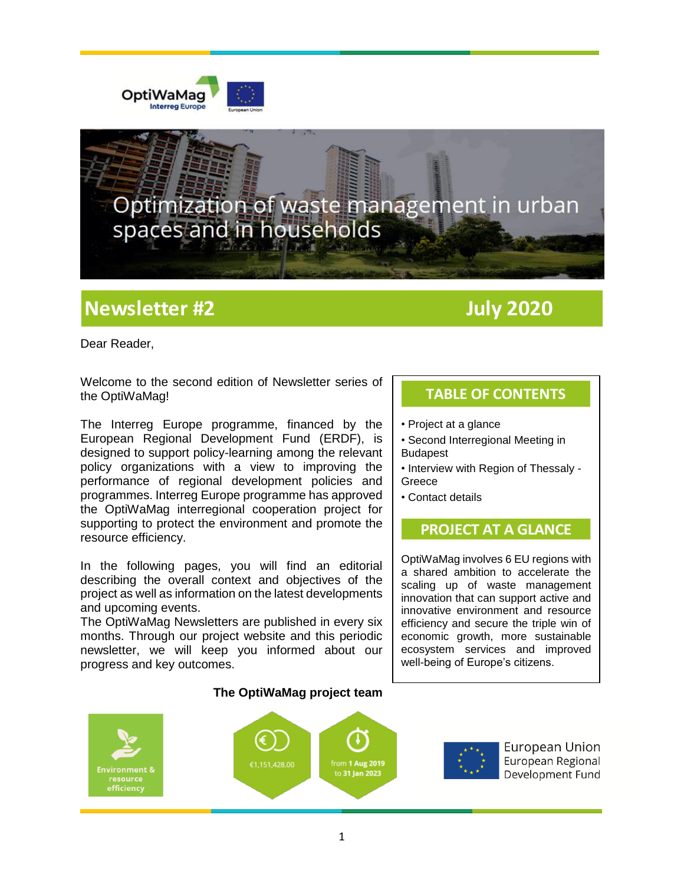



## **Newsletter #2 July 2020**

Dear Reader,

Welcome to the second edition of Newsletter series of the OptiWaMag!

The Interreg Europe programme, financed by the European Regional Development Fund (ERDF), is designed to support policy-learning among the relevant policy organizations with a view to improving the performance of regional development policies and programmes. Interreg Europe programme has approved the OptiWaMag interregional cooperation project for supporting to protect the environment and promote the resource efficiency.

In the following pages, you will find an editorial describing the overall context and objectives of the project as well as information on the latest developments and upcoming events.

The OptiWaMag Newsletters are published in every six months. Through our project website and this periodic newsletter, we will keep you informed about our progress and key outcomes.

## **TABLE OF CONTENTS**

- Project at a glance
- Second Interregional Meeting in Budapest
- Interview with Region of Thessaly **Greece**
- Contact details

## **PROJECT AT A GLANCE**

OptiWaMag involves 6 EU regions with a shared ambition to accelerate the scaling up of waste management innovation that can support active and innovative environment and resource efficiency and secure the triple win of economic growth, more sustainable ecosystem services and improved well-being of Europe's citizens.



#### **The OptiWaMag project team**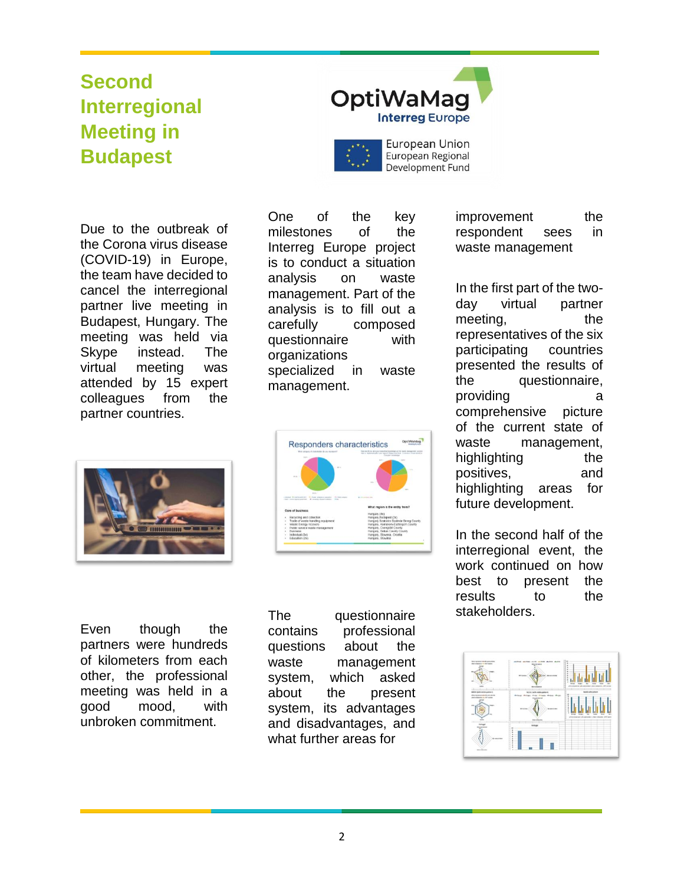# **Second Interregional Meeting in Budapest**



Due to the outbreak of the Corona virus disease (COVID-19) in Europe, the team have decided to cancel the interregional partner live meeting in Budapest, Hungary. The meeting was held via Skype instead. The virtual meeting was attended by 15 expert colleagues from the partner countries.

One of the key milestones of the Interreg Europe project is to conduct a situation analysis on waste management. Part of the analysis is to fill out a carefully composed questionnaire with organizations specialized in waste management.

Responders characteristics



Even though the partners were hundreds of kilometers from each other, the professional meeting was held in a good mood, with unbroken commitment.

The questionnaire contains professional questions about the waste management system, which asked about the present system, its advantages and disadvantages, and what further areas for

improvement the respondent sees in waste management

In the first part of the twoday virtual partner meeting, the representatives of the six participating countries presented the results of the questionnaire, providing a comprehensive picture of the current state of waste management, highlighting the positives, and highlighting areas for future development.

In the second half of the interregional event, the work continued on how best to present the results to the stakeholders.

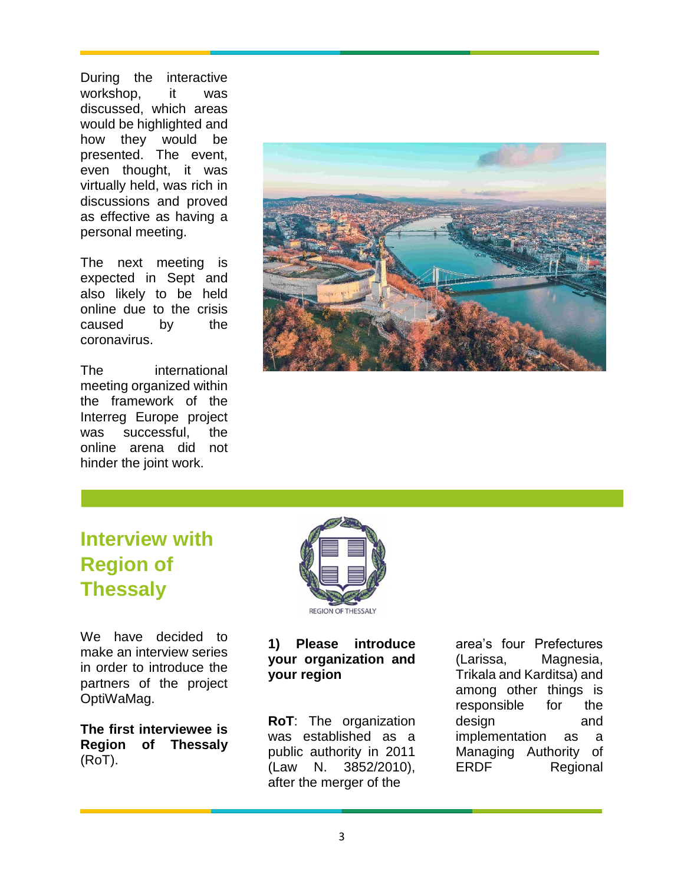During the interactive workshop, it was discussed, which areas would be highlighted and how they would be presented. The event, even thought, it was virtually held, was rich in discussions and proved as effective as having a personal meeting.

The next meeting is expected in Sept and also likely to be held online due to the crisis caused by the coronavirus.

The international meeting organized within the framework of the Interreg Europe project was successful, the online arena did not hinder the joint work.



# **Interview with Region of Thessaly**

We have decided to make an interview series in order to introduce the partners of the project OptiWaMag.

**The first interviewee is Region of Thessaly** (RoT).



### **1) Please introduce your organization and your region**

**RoT**: The organization was established as a public authority in 2011 (Law N. 3852/2010), after the merger of the

area's four Prefectures (Larissa, Magnesia, Trikala and Karditsa) and among other things is responsible for the design and implementation as a Managing Authority of ERDF Regional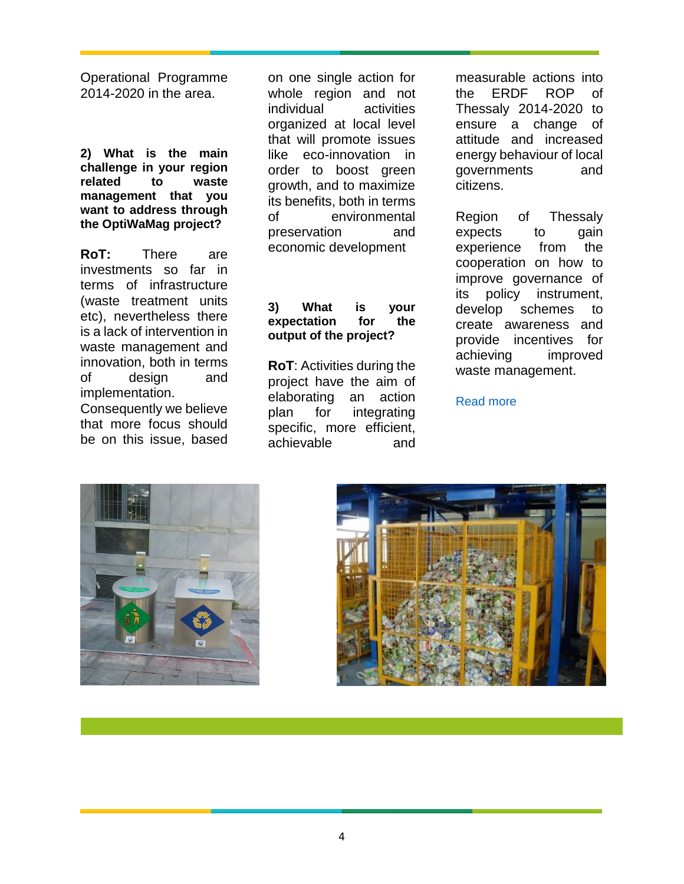Operational Programme 2014-2020 in the area.

**2) What is the main challenge in your region related to waste management that you want to address through the OptiWaMag project?**

**RoT:** There are investments so far in terms of infrastructure (waste treatment units etc), nevertheless there is a lack of intervention in waste management and innovation, both in terms of design and implementation.

Consequently we believe that more focus should be on this issue, based on one single action for whole region and not individual activities organized at local level that will promote issues like eco-innovation in order to boost green growth, and to maximize its benefits, both in terms of environmental preservation and economic development

#### **3) What is your expectation for the output of the project?**

**RoT**: Activities during the project have the aim of elaborating an action plan for integrating specific, more efficient, achievable and

measurable actions into the ERDF ROP of Thessaly 2014-2020 to ensure a change of attitude and increased energy behaviour of local governments and citizens.

Region of Thessaly expects to gain experience from the cooperation on how to improve governance of its policy instrument, develop schemes to create awareness and provide incentives for achieving improved waste management.

[Read more](https://www.interregeurope.eu/optiwamag/news/news-article/8515/meet-the-team-region-of-thessaly/)